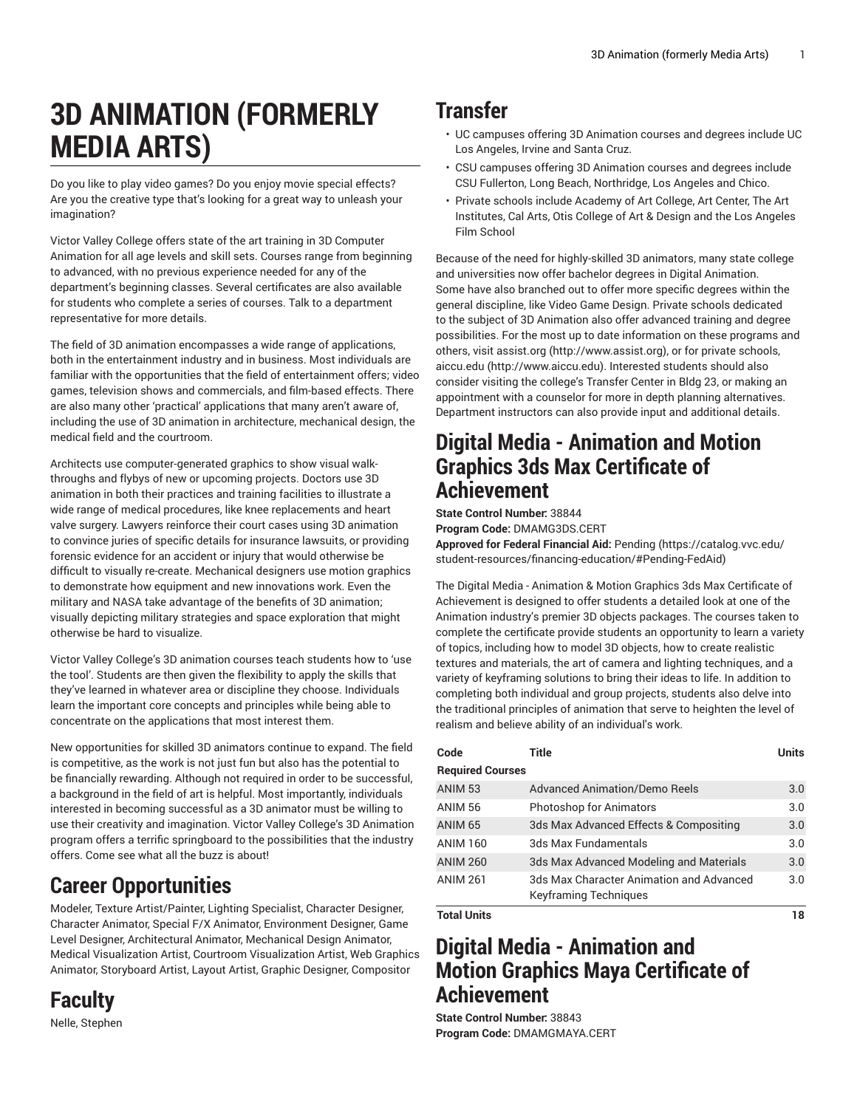# **3D ANIMATION (FORMERLY MEDIA ARTS)**

Do you like to play video games? Do you enjoy movie special effects? Are you the creative type that's looking for a great way to unleash your imagination?

Victor Valley College offers state of the art training in 3D Computer Animation for all age levels and skill sets. Courses range from beginning to advanced, with no previous experience needed for any of the department's beginning classes. Several certificates are also available for students who complete a series of courses. Talk to a department representative for more details.

The field of 3D animation encompasses a wide range of applications, both in the entertainment industry and in business. Most individuals are familiar with the opportunities that the field of entertainment offers; video games, television shows and commercials, and film-based effects. There are also many other 'practical' applications that many aren't aware of, including the use of 3D animation in architecture, mechanical design, the medical field and the courtroom.

Architects use computer-generated graphics to show visual walkthroughs and flybys of new or upcoming projects. Doctors use 3D animation in both their practices and training facilities to illustrate a wide range of medical procedures, like knee replacements and heart valve surgery. Lawyers reinforce their court cases using 3D animation to convince juries of specific details for insurance lawsuits, or providing forensic evidence for an accident or injury that would otherwise be difficult to visually re-create. Mechanical designers use motion graphics to demonstrate how equipment and new innovations work. Even the military and NASA take advantage of the benefits of 3D animation; visually depicting military strategies and space exploration that might otherwise be hard to visualize.

Victor Valley College's 3D animation courses teach students how to 'use the tool'. Students are then given the flexibility to apply the skills that they've learned in whatever area or discipline they choose. Individuals learn the important core concepts and principles while being able to concentrate on the applications that most interest them.

New opportunities for skilled 3D animators continue to expand. The field is competitive, as the work is not just fun but also has the potential to be financially rewarding. Although not required in order to be successful, a background in the field of art is helpful. Most importantly, individuals interested in becoming successful as a 3D animator must be willing to use their creativity and imagination. Victor Valley College's 3D Animation program offers a terrific springboard to the possibilities that the industry offers. Come see what all the buzz is about!

## **Career Opportunities**

Modeler, Texture Artist/Painter, Lighting Specialist, Character Designer, Character Animator, Special F/X Animator, Environment Designer, Game Level Designer, Architectural Animator, Mechanical Design Animator, Medical Visualization Artist, Courtroom Visualization Artist, Web Graphics Animator, Storyboard Artist, Layout Artist, Graphic Designer, Compositor

**Faculty** Nelle, Stephen

### **Transfer**

- UC campuses offering 3D Animation courses and degrees include UC Los Angeles, Irvine and Santa Cruz.
- CSU campuses offering 3D Animation courses and degrees include CSU Fullerton, Long Beach, Northridge, Los Angeles and Chico.
- Private schools include Academy of Art College, Art Center, The Art Institutes, Cal Arts, Otis College of Art & Design and the Los Angeles Film School

Because of the need for highly-skilled 3D animators, many state college and universities now offer bachelor degrees in Digital Animation. Some have also branched out to offer more specific degrees within the general discipline, like Video Game Design. Private schools dedicated to the subject of 3D Animation also offer advanced training and degree possibilities. For the most up to date information on these programs and others, visit [assist.org](http://www.assist.org) [\(http://www.assist.org\)](http://www.assist.org), or for private schools, [aiccu.edu](http://www.aiccu.edu) ([http://www.aiccu.edu\)](http://www.aiccu.edu). Interested students should also consider visiting the college's Transfer Center in Bldg 23, or making an appointment with a counselor for more in depth planning alternatives. Department instructors can also provide input and additional details.

### **Digital Media - Animation and Motion Graphics 3ds Max Certificate of Achievement**

**State Control Number:** 38844

**Program Code:** DMAMG3DS.CERT

**Approved for Federal Financial Aid:** [Pending \(https://catalog.vvc.edu/](https://catalog.vvc.edu/student-resources/financing-education/#Pending-FedAid) [student-resources/financing-education/#Pending-FedAid](https://catalog.vvc.edu/student-resources/financing-education/#Pending-FedAid))

The Digital Media - Animation & Motion Graphics 3ds Max Certificate of Achievement is designed to offer students a detailed look at one of the Animation industry's premier 3D objects packages. The courses taken to complete the certificate provide students an opportunity to learn a variety of topics, including how to model 3D objects, how to create realistic textures and materials, the art of camera and lighting techniques, and a variety of keyframing solutions to bring their ideas to life. In addition to completing both individual and group projects, students also delve into the traditional principles of animation that serve to heighten the level of realism and believe ability of an individual's work.

| Code                    | Title                                                                    | <b>Units</b> |
|-------------------------|--------------------------------------------------------------------------|--------------|
| <b>Required Courses</b> |                                                                          |              |
| <b>ANIM 53</b>          | <b>Advanced Animation/Demo Reels</b>                                     | 3.0          |
| <b>ANIM 56</b>          | Photoshop for Animators                                                  | 3.0          |
| <b>ANIM 65</b>          | 3ds Max Advanced Effects & Compositing                                   | 3.0          |
| <b>ANIM 160</b>         | 3ds Max Fundamentals                                                     | 3.0          |
| <b>ANIM 260</b>         | 3ds Max Advanced Modeling and Materials                                  | 3.0          |
| <b>ANIM 261</b>         | 3ds Max Character Animation and Advanced<br><b>Keyframing Techniques</b> | 3.0          |
| <b>Total Units</b>      |                                                                          | 18           |

### **Digital Media - Animation and Motion Graphics Maya Certificate of Achievement**

**State Control Number:** 38843 **Program Code:** DMAMGMAYA.CERT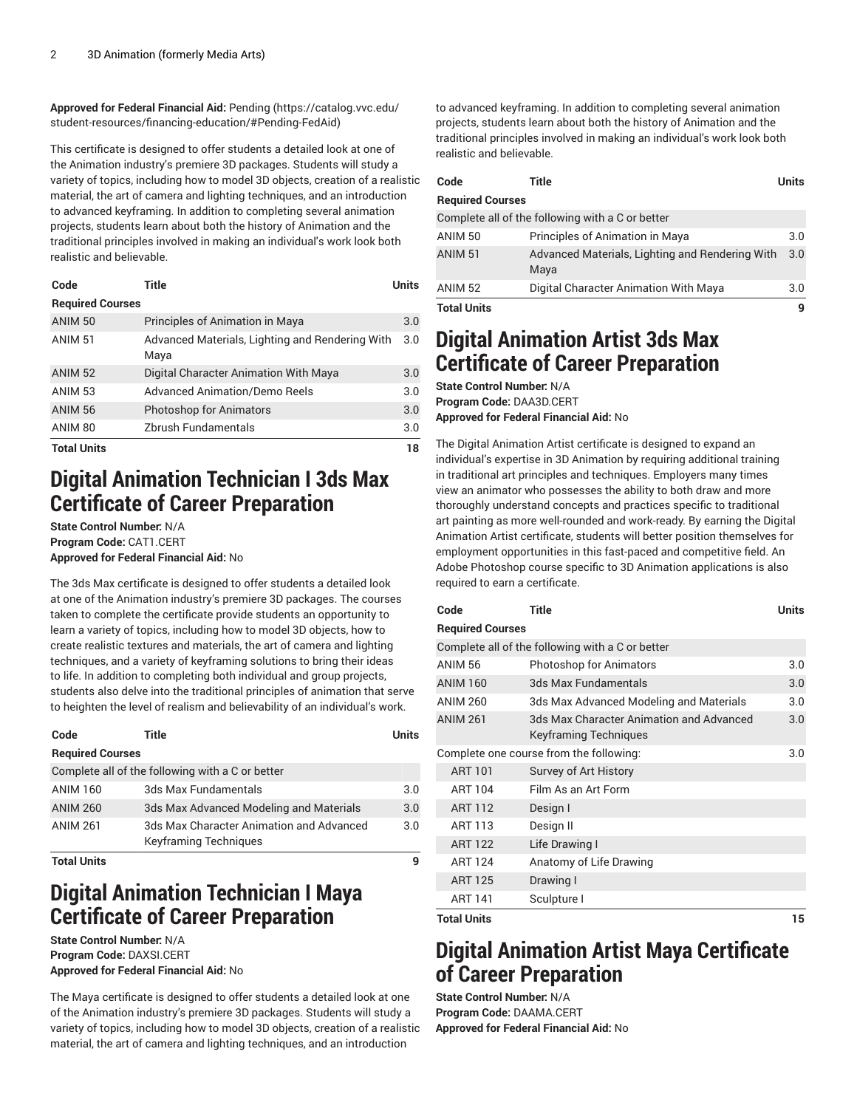**Approved for Federal Financial Aid:** [Pending](https://catalog.vvc.edu/student-resources/financing-education/#Pending-FedAid) ([https://catalog.vvc.edu/](https://catalog.vvc.edu/student-resources/financing-education/#Pending-FedAid) [student-resources/financing-education/#Pending-FedAid\)](https://catalog.vvc.edu/student-resources/financing-education/#Pending-FedAid)

This certificate is designed to offer students a detailed look at one of the Animation industry's premiere 3D packages. Students will study a variety of topics, including how to model 3D objects, creation of a realistic material, the art of camera and lighting techniques, and an introduction to advanced keyframing. In addition to completing several animation projects, students learn about both the history of Animation and the traditional principles involved in making an individual's work look both realistic and believable.

| Code                    | Title                                                   | Units |
|-------------------------|---------------------------------------------------------|-------|
| <b>Required Courses</b> |                                                         |       |
| <b>ANIM 50</b>          | Principles of Animation in Maya                         | 3.0   |
| <b>ANIM 51</b>          | Advanced Materials, Lighting and Rendering With<br>Maya | 3.0   |
| <b>ANIM 52</b>          | Digital Character Animation With Maya                   | 3.0   |
| <b>ANIM 53</b>          | <b>Advanced Animation/Demo Reels</b>                    | 3.0   |
| <b>ANIM 56</b>          | <b>Photoshop for Animators</b>                          | 3.0   |
| ANIM 80                 | Zbrush Fundamentals                                     | 3.0   |
| <b>Total Units</b>      |                                                         | 18    |

### **Digital Animation Technician I 3ds Max Certificate of Career Preparation**

**State Control Number:** N/A **Program Code:** CAT1.CERT **Approved for Federal Financial Aid:** No

The 3ds Max certificate is designed to offer students a detailed look at one of the Animation industry's premiere 3D packages. The courses taken to complete the certificate provide students an opportunity to learn a variety of topics, including how to model 3D objects, how to create realistic textures and materials, the art of camera and lighting techniques, and a variety of keyframing solutions to bring their ideas to life. In addition to completing both individual and group projects, students also delve into the traditional principles of animation that serve to heighten the level of realism and believability of an individual's work.

| Code                    | Title                                                                    | Units |
|-------------------------|--------------------------------------------------------------------------|-------|
| <b>Required Courses</b> |                                                                          |       |
|                         | Complete all of the following with a C or better                         |       |
| <b>ANIM 160</b>         | 3ds Max Fundamentals                                                     | 3.0   |
| <b>ANIM 260</b>         | 3ds Max Advanced Modeling and Materials                                  | 3.0   |
| <b>ANIM 261</b>         | 3ds Max Character Animation and Advanced<br><b>Keyframing Techniques</b> | 3.0   |
| <b>Total Units</b>      |                                                                          | 9     |

### **Digital Animation Technician I Maya Certificate of Career Preparation**

**State Control Number:** N/A **Program Code:** DAXSI.CERT **Approved for Federal Financial Aid:** No

The Maya certificate is designed to offer students a detailed look at one of the Animation industry's premiere 3D packages. Students will study a variety of topics, including how to model 3D objects, creation of a realistic material, the art of camera and lighting techniques, and an introduction

to advanced keyframing. In addition to completing several animation projects, students learn about both the history of Animation and the traditional principles involved in making an individual's work look both realistic and believable.

| Code                    | Title                                                   | Units |
|-------------------------|---------------------------------------------------------|-------|
| <b>Required Courses</b> |                                                         |       |
|                         | Complete all of the following with a C or better        |       |
| <b>ANIM 50</b>          | Principles of Animation in Maya                         | 3.0   |
| <b>ANIM 51</b>          | Advanced Materials, Lighting and Rendering With<br>Maya | 3.0   |
| <b>ANIM 52</b>          | Digital Character Animation With Maya                   | 3.0   |
| <b>Total Units</b>      |                                                         | q     |

### **Digital Animation Artist 3ds Max Certificate of Career Preparation**

**State Control Number:** N/A **Program Code:** DAA3D.CERT **Approved for Federal Financial Aid:** No

The Digital Animation Artist certificate is designed to expand an individual's expertise in 3D Animation by requiring additional training in traditional art principles and techniques. Employers many times view an animator who possesses the ability to both draw and more thoroughly understand concepts and practices specific to traditional art painting as more well-rounded and work-ready. By earning the Digital Animation Artist certificate, students will better position themselves for employment opportunities in this fast-paced and competitive field. An Adobe Photoshop course specific to 3D Animation applications is also required to earn a certificate.

| Code                    | <b>Title</b>                                                      | <b>Units</b> |
|-------------------------|-------------------------------------------------------------------|--------------|
| <b>Required Courses</b> |                                                                   |              |
|                         | Complete all of the following with a C or better                  |              |
| <b>ANIM 56</b>          | <b>Photoshop for Animators</b>                                    | 3.0          |
| <b>ANIM 160</b>         | 3ds Max Fundamentals                                              | 3.0          |
| <b>ANIM 260</b>         | 3ds Max Advanced Modeling and Materials                           | 3.0          |
| <b>ANIM 261</b>         | 3ds Max Character Animation and Advanced<br>Keyframing Techniques | 3.0          |
|                         | Complete one course from the following:                           | 3.0          |
| <b>ART 101</b>          | Survey of Art History                                             |              |
| <b>ART 104</b>          | Film As an Art Form                                               |              |
| <b>ART 112</b>          | Design I                                                          |              |
| <b>ART 113</b>          | Design II                                                         |              |
| <b>ART 122</b>          | Life Drawing I                                                    |              |
| <b>ART 124</b>          | Anatomy of Life Drawing                                           |              |
| <b>ART 125</b>          | Drawing I                                                         |              |
| <b>ART 141</b>          | Sculpture I                                                       |              |
| <b>Total Units</b>      |                                                                   | 15           |

### **Digital Animation Artist Maya Certificate of Career Preparation**

**State Control Number:** N/A **Program Code:** DAAMA.CERT **Approved for Federal Financial Aid:** No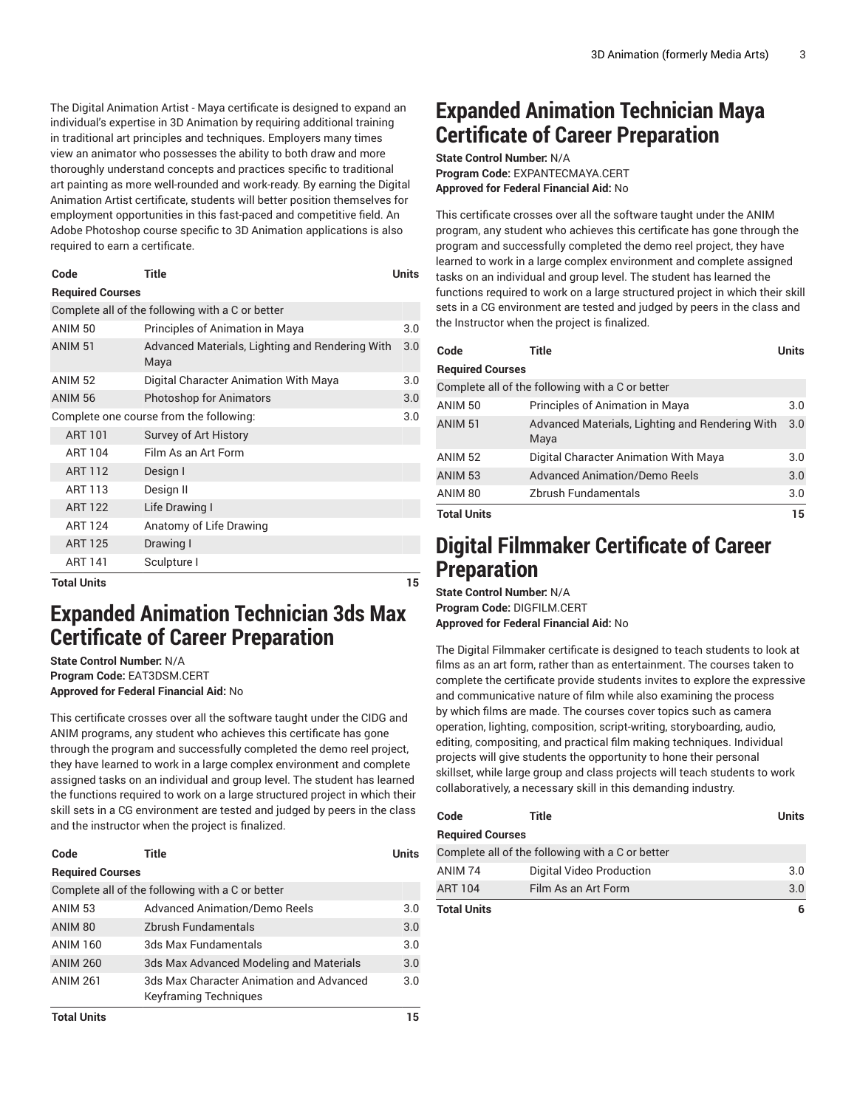The Digital Animation Artist - Maya certificate is designed to expand an individual's expertise in 3D Animation by requiring additional training in traditional art principles and techniques. Employers many times view an animator who possesses the ability to both draw and more thoroughly understand concepts and practices specific to traditional art painting as more well-rounded and work-ready. By earning the Digital Animation Artist certificate, students will better position themselves for employment opportunities in this fast-paced and competitive field. An Adobe Photoshop course specific to 3D Animation applications is also required to earn a certificate.

| Code                    | Title | Units |
|-------------------------|-------|-------|
| <b>Required Courses</b> |       |       |

Complete all of the following with a C or better

| Tatal Huita        |                                                         | 1 E |
|--------------------|---------------------------------------------------------|-----|
| <b>ART 141</b>     | Sculpture I                                             |     |
| <b>ART 125</b>     | Drawing I                                               |     |
| <b>ART 124</b>     | Anatomy of Life Drawing                                 |     |
| <b>ART 122</b>     | Life Drawing I                                          |     |
| <b>ART 113</b>     | Design II                                               |     |
| <b>ART 112</b>     | Design I                                                |     |
| <b>ART 104</b>     | Film As an Art Form                                     |     |
| <b>ART 101</b>     | Survey of Art History                                   |     |
|                    | Complete one course from the following:                 | 3.0 |
| <b>ANIM 56</b>     | <b>Photoshop for Animators</b>                          | 3.0 |
| <b>ANIM 52</b>     | Digital Character Animation With Maya                   | 3.0 |
| <b>ANIM 51</b>     | Advanced Materials, Lighting and Rendering With<br>Maya | 3.0 |
| ANIM <sub>50</sub> | Principles of Animation in Maya                         | 3.0 |
|                    |                                                         |     |

**Total Units** 

### **Expanded Animation Technician 3ds Max Certificate of Career Preparation**

**State Control Number:** N/A **Program Code:** EAT3DSM.CERT **Approved for Federal Financial Aid:** No

This certificate crosses over all the software taught under the CIDG and ANIM programs, any student who achieves this certificate has gone through the program and successfully completed the demo reel project, they have learned to work in a large complex environment and complete assigned tasks on an individual and group level. The student has learned the functions required to work on a large structured project in which their skill sets in a CG environment are tested and judged by peers in the class and the instructor when the project is finalized.

| Code                    | Title                                                                    | Units |
|-------------------------|--------------------------------------------------------------------------|-------|
| <b>Required Courses</b> |                                                                          |       |
|                         | Complete all of the following with a C or better                         |       |
| <b>ANIM 53</b>          | <b>Advanced Animation/Demo Reels</b>                                     | 3.0   |
| ANIM 80                 | Zbrush Fundamentals                                                      | 3.0   |
| <b>ANIM 160</b>         | 3ds Max Fundamentals                                                     | 3.0   |
| <b>ANIM 260</b>         | 3ds Max Advanced Modeling and Materials                                  | 3.0   |
| <b>ANIM 261</b>         | 3ds Max Character Animation and Advanced<br><b>Keyframing Techniques</b> | 3.0   |
| <b>Total Units</b>      |                                                                          | 15    |

**Expanded Animation Technician Maya Certificate of Career Preparation**

**State Control Number:** N/A **Program Code:** EXPANTECMAYA.CERT **Approved for Federal Financial Aid:** No

This certificate crosses over all the software taught under the ANIM program, any student who achieves this certificate has gone through the program and successfully completed the demo reel project, they have learned to work in a large complex environment and complete assigned tasks on an individual and group level. The student has learned the functions required to work on a large structured project in which their skill sets in a CG environment are tested and judged by peers in the class and the Instructor when the project is finalized.

| Code                    | Title                                                   | Units |
|-------------------------|---------------------------------------------------------|-------|
| <b>Required Courses</b> |                                                         |       |
|                         | Complete all of the following with a C or better        |       |
| ANIM <sub>50</sub>      | Principles of Animation in Maya                         | 3.0   |
| <b>ANIM 51</b>          | Advanced Materials, Lighting and Rendering With<br>Maya | 3.0   |
| <b>ANIM 52</b>          | Digital Character Animation With Maya                   | 3.0   |
| <b>ANIM 53</b>          | <b>Advanced Animation/Demo Reels</b>                    | 3.0   |
| ANIM 80                 | Zbrush Fundamentals                                     | 3.0   |
| <b>Total Units</b>      |                                                         | 15    |

### **Digital Filmmaker Certificate of Career Preparation**

**State Control Number:** N/A **Program Code:** DIGFILM.CERT **Approved for Federal Financial Aid:** No

The Digital Filmmaker certificate is designed to teach students to look at films as an art form, rather than as entertainment. The courses taken to complete the certificate provide students invites to explore the expressive and communicative nature of film while also examining the process by which films are made. The courses cover topics such as camera operation, lighting, composition, script-writing, storyboarding, audio, editing, compositing, and practical film making techniques. Individual projects will give students the opportunity to hone their personal skillset, while large group and class projects will teach students to work collaboratively, a necessary skill in this demanding industry.

| Code                    | Title                                            | <b>Units</b> |
|-------------------------|--------------------------------------------------|--------------|
| <b>Required Courses</b> |                                                  |              |
|                         | Complete all of the following with a C or better |              |
| ANIM 74                 | Digital Video Production                         | 3.0          |
| <b>ART 104</b>          | Film As an Art Form                              | 3.0          |
| <b>Total Units</b>      |                                                  | 6            |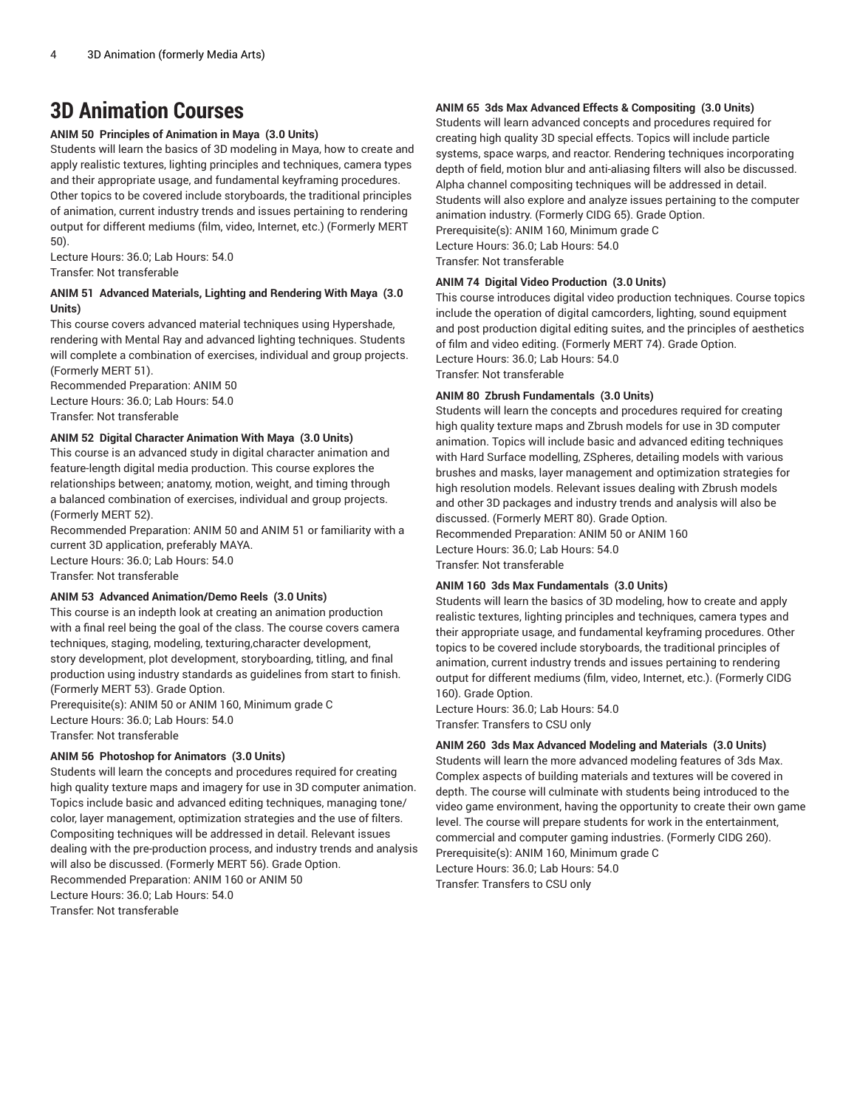### **3D Animation Courses**

**ANIM 50 Principles of Animation in Maya (3.0 Units)**

Students will learn the basics of 3D modeling in Maya, how to create and apply realistic textures, lighting principles and techniques, camera types and their appropriate usage, and fundamental keyframing procedures. Other topics to be covered include storyboards, the traditional principles of animation, current industry trends and issues pertaining to rendering output for different mediums (film, video, Internet, etc.) (Formerly MERT 50).

Lecture Hours: 36.0; Lab Hours: 54.0 Transfer: Not transferable

#### **ANIM 51 Advanced Materials, Lighting and Rendering With Maya (3.0 Units)**

This course covers advanced material techniques using Hypershade, rendering with Mental Ray and advanced lighting techniques. Students will complete a combination of exercises, individual and group projects. (Formerly MERT 51).

Recommended Preparation: ANIM 50 Lecture Hours: 36.0; Lab Hours: 54.0 Transfer: Not transferable

#### **ANIM 52 Digital Character Animation With Maya (3.0 Units)**

This course is an advanced study in digital character animation and feature-length digital media production. This course explores the relationships between; anatomy, motion, weight, and timing through a balanced combination of exercises, individual and group projects. (Formerly MERT 52).

Recommended Preparation: ANIM 50 and ANIM 51 or familiarity with a current 3D application, preferably MAYA. Lecture Hours: 36.0; Lab Hours: 54.0 Transfer: Not transferable

#### **ANIM 53 Advanced Animation/Demo Reels (3.0 Units)**

This course is an indepth look at creating an animation production with a final reel being the goal of the class. The course covers camera techniques, staging, modeling, texturing,character development, story development, plot development, storyboarding, titling, and final production using industry standards as guidelines from start to finish. (Formerly MERT 53). Grade Option.

Prerequisite(s): ANIM 50 or ANIM 160, Minimum grade C Lecture Hours: 36.0; Lab Hours: 54.0 Transfer: Not transferable

#### **ANIM 56 Photoshop for Animators (3.0 Units)**

Students will learn the concepts and procedures required for creating high quality texture maps and imagery for use in 3D computer animation. Topics include basic and advanced editing techniques, managing tone/ color, layer management, optimization strategies and the use of filters. Compositing techniques will be addressed in detail. Relevant issues dealing with the pre-production process, and industry trends and analysis will also be discussed. (Formerly MERT 56). Grade Option. Recommended Preparation: ANIM 160 or ANIM 50 Lecture Hours: 36.0; Lab Hours: 54.0 Transfer: Not transferable

#### **ANIM 65 3ds Max Advanced Effects & Compositing (3.0 Units)**

Students will learn advanced concepts and procedures required for creating high quality 3D special effects. Topics will include particle systems, space warps, and reactor. Rendering techniques incorporating depth of field, motion blur and anti-aliasing filters will also be discussed. Alpha channel compositing techniques will be addressed in detail. Students will also explore and analyze issues pertaining to the computer animation industry. (Formerly CIDG 65). Grade Option. Prerequisite(s): ANIM 160, Minimum grade C Lecture Hours: 36.0; Lab Hours: 54.0 Transfer: Not transferable

### **ANIM 74 Digital Video Production (3.0 Units)**

This course introduces digital video production techniques. Course topics include the operation of digital camcorders, lighting, sound equipment and post production digital editing suites, and the principles of aesthetics of film and video editing. (Formerly MERT 74). Grade Option. Lecture Hours: 36.0; Lab Hours: 54.0 Transfer: Not transferable

#### **ANIM 80 Zbrush Fundamentals (3.0 Units)**

Students will learn the concepts and procedures required for creating high quality texture maps and Zbrush models for use in 3D computer animation. Topics will include basic and advanced editing techniques with Hard Surface modelling, ZSpheres, detailing models with various brushes and masks, layer management and optimization strategies for high resolution models. Relevant issues dealing with Zbrush models and other 3D packages and industry trends and analysis will also be discussed. (Formerly MERT 80). Grade Option.

Recommended Preparation: ANIM 50 or ANIM 160 Lecture Hours: 36.0; Lab Hours: 54.0 Transfer: Not transferable

#### **ANIM 160 3ds Max Fundamentals (3.0 Units)**

Students will learn the basics of 3D modeling, how to create and apply realistic textures, lighting principles and techniques, camera types and their appropriate usage, and fundamental keyframing procedures. Other topics to be covered include storyboards, the traditional principles of animation, current industry trends and issues pertaining to rendering output for different mediums (film, video, Internet, etc.). (Formerly CIDG 160). Grade Option.

Lecture Hours: 36.0; Lab Hours: 54.0 Transfer: Transfers to CSU only

#### **ANIM 260 3ds Max Advanced Modeling and Materials (3.0 Units)**

Students will learn the more advanced modeling features of 3ds Max. Complex aspects of building materials and textures will be covered in depth. The course will culminate with students being introduced to the video game environment, having the opportunity to create their own game level. The course will prepare students for work in the entertainment, commercial and computer gaming industries. (Formerly CIDG 260). Prerequisite(s): ANIM 160, Minimum grade C Lecture Hours: 36.0; Lab Hours: 54.0

Transfer: Transfers to CSU only